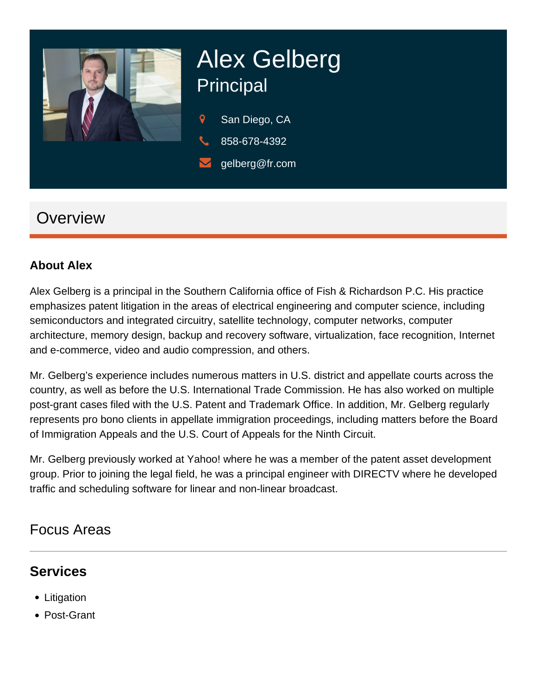

# Alex Gelberg Principal

- 9 San Diego, CA
- 858-678-4392
- gelberg@fr.com

## **Overview**

#### **About Alex**

Alex Gelberg is a principal in the Southern California office of Fish & Richardson P.C. His practice emphasizes patent litigation in the areas of electrical engineering and computer science, including semiconductors and integrated circuitry, satellite technology, computer networks, computer architecture, memory design, backup and recovery software, virtualization, face recognition, Internet and e-commerce, video and audio compression, and others.

Mr. Gelberg's experience includes numerous matters in U.S. district and appellate courts across the country, as well as before the U.S. International Trade Commission. He has also worked on multiple post-grant cases filed with the U.S. Patent and Trademark Office. In addition, Mr. Gelberg regularly represents pro bono clients in appellate immigration proceedings, including matters before the Board of Immigration Appeals and the U.S. Court of Appeals for the Ninth Circuit.

Mr. Gelberg previously worked at Yahoo! where he was a member of the patent asset development group. Prior to joining the legal field, he was a principal engineer with DIRECTV where he developed traffic and scheduling software for linear and non-linear broadcast.

## Focus Areas

## **Services**

- Litigation
- Post-Grant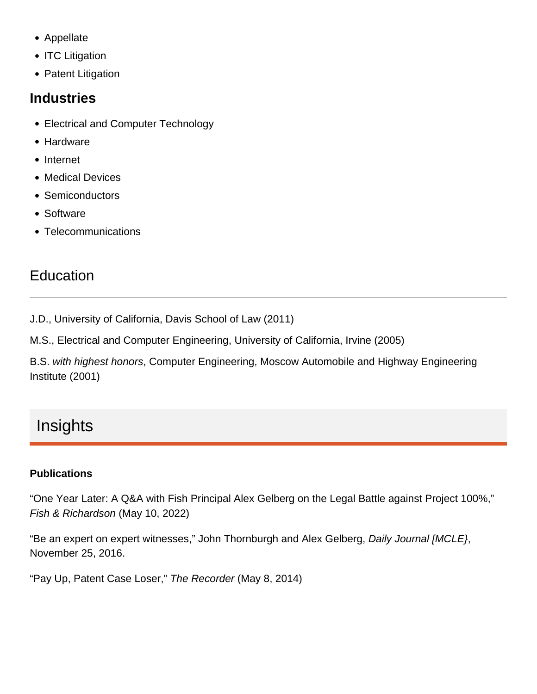- Appellate
- ITC Litigation
- Patent Litigation

#### **Industries**

- Electrical and Computer Technology
- Hardware
- Internet
- Medical Devices
- Semiconductors
- Software
- Telecommunications

## Education

J.D., University of California, Davis School of Law (2011)

M.S., Electrical and Computer Engineering, University of California, Irvine (2005)

B.S. with highest honors, Computer Engineering, Moscow Automobile and Highway Engineering Institute (2001)

# **Insights**

#### **Publications**

["One Year Later: A Q&A with Fish Principal Alex Gelberg on the Legal Battle against Project 100%](https://www.fr.com/one-year-later-a-qa-with-fish-principal-alex-gelberg-on-the-legal-battle-against-project-100/)," Fish & Richardson (May 10, 2022)

["Be an expert on expert witnesses](https://www.fr.com/wp-content/uploads/2016/12/Daily-Journal-Be-an-expert-on-expert-witnesses.pdf)," John Thornburgh and Alex Gelberg, Daily Journal [MCLE}, November 25, 2016.

"Pay Up, Patent Case Loser," The Recorder (May 8, 2014)